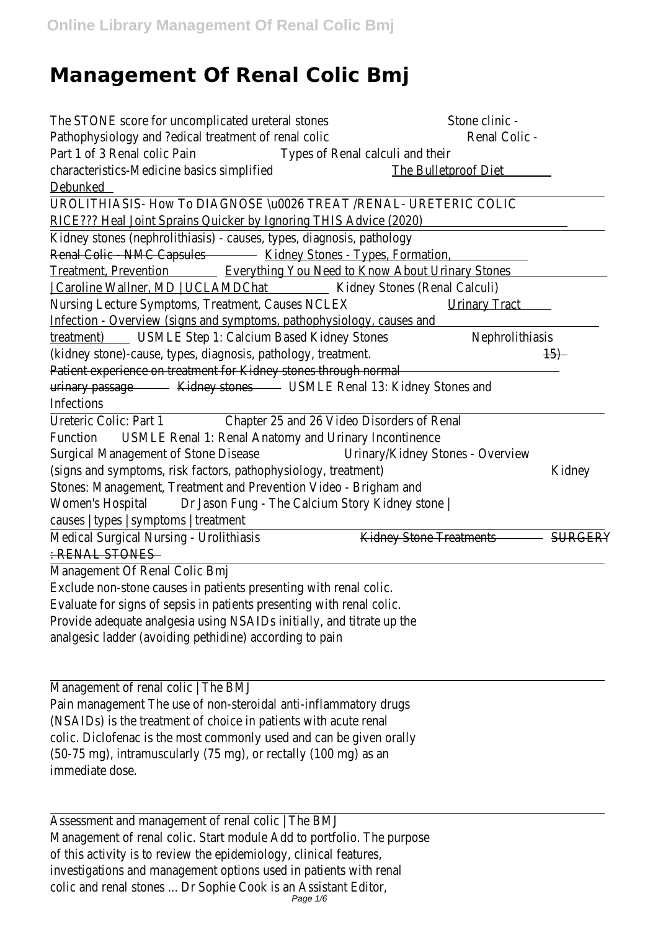## **Management Of Renal Colic Bmj**

The STONE score for uncomplicated ureteral stortene clinic -Pathophysiology and ?edical treatment of renal collenal Colic -Part 1 of 3 Renal colic Pain Types of Renal calculi and their characteristics-Medicine basics simplified The Bulletproof Diet Debunked

UROLITHIASIS- How To DIAGNOSE \u0026 TREAT /RENAL- URETERIC COLIC RICE??? Heal Joint Sprains Quicker by Ignoring THIS Advice (2020) Kidney stones (nephrolithiasis) - causes, types, diagnosis, pathology Renal Colic - NMC Capsuld sidney Stones - Types, Formation, Treatment, PreventioEverything You Need to Know About Urinary Stones | Caroline Wallner, MD | UCLAMDCKathey Stones (Renal Calculi) Nursing Lecture Symptoms, Treatment, Causes NCLEXy Tract Infection - Overview (signs and symptoms, pathophysiology, causes and treatment)USMLE Step 1: Calcium Based Kidney Stoweshrolithiasis (kidney stone)-cause, types, diagnosis, pathology, treatmen#5) Patient experience on treatment for Kidney stones through normal urinary passageKidney stonesUSMLE Renal 13: Kidney Stones and Infections

Ureteric Colic: Part 1Chapter 25 and 26 Video Disorders of Renal FunctionUSMLE Renal 1: Renal Anatomy and Urinary Incontinence Surgical Management of Stone Disedsinary/Kidney Stones - Overview (signs and symptoms, risk factors, pathophysiology, treatmekiblney Stones: Management, Treatment and Prevention Video - Brigham and Women's Hospit&r Jason Fung - The Calcium Story Kidney stone | causes | types | symptoms | treatment

Medical Surgical Nursing - Urolithiasis Kidney Stone Treatmen SURGERY : RENAL STONES

Management Of Renal Colic Bmj

Exclude non-stone causes in patients presenting with renal colic. Evaluate for signs of sepsis in patients presenting with renal colic. Provide adequate analgesia using NSAIDs initially, and titrate up the analgesic ladder (avoiding pethidine) according to pain

Management of renal colic | The BMJ Pain management The use of non-steroidal anti-inflammatory drugs (NSAIDs) is the treatment of choice in patients with acute renal colic. Diclofenac is the most commonly used and can be given orally (50-75 mg), intramuscularly (75 mg), or rectally (100 mg) as an immediate dose.

Assessment and management of renal colic | The BMJ Management of renal colic. Start module Add to portfolio. The purpose of this activity is to review the epidemiology, clinical features, investigations and management options used in patients with renal colic and renal stones ... Dr Sophie Cook is an Assistant Editor, Page 1/6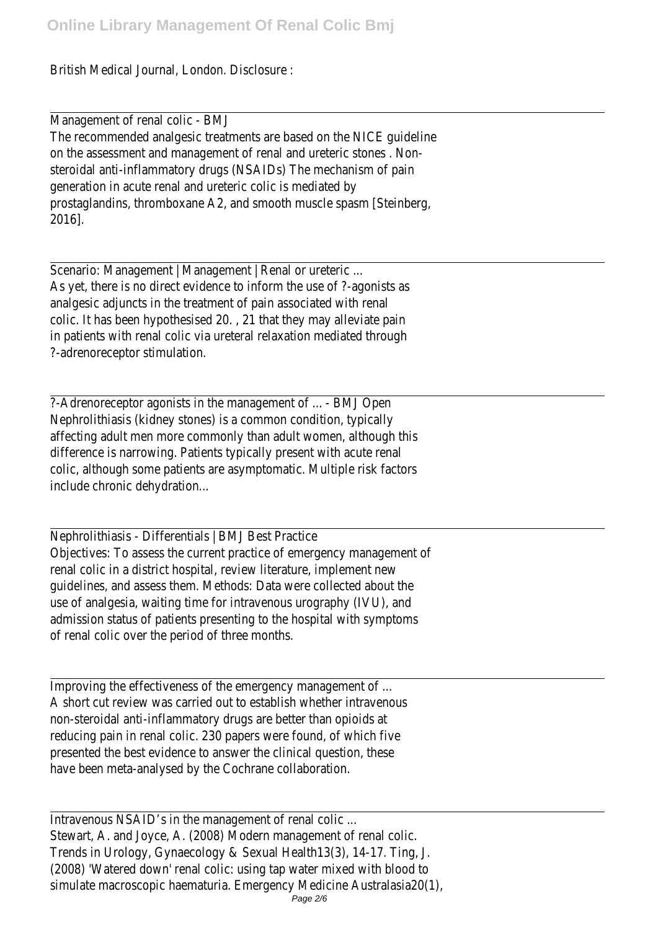British Medical Journal, London. Disclosure :

Management of renal colic - BMJ The recommended analgesic treatments are based on the NICE guideline on the assessment and management of renal and ureteric stones . Nonsteroidal anti-inflammatory drugs (NSAIDs) The mechanism of pain generation in acute renal and ureteric colic is mediated by prostaglandins, thromboxane A2, and smooth muscle spasm [Steinberg, 2016].

Scenario: Management | Management | Renal or ureteric ... As yet, there is no direct evidence to inform the use of ?-agonists as analgesic adjuncts in the treatment of pain associated with renal colic. It has been hypothesised 20. , 21 that they may alleviate pain in patients with renal colic via ureteral relaxation mediated through ?-adrenoreceptor stimulation.

?-Adrenoreceptor agonists in the management of ... - BMJ Open Nephrolithiasis (kidney stones) is a common condition, typically affecting adult men more commonly than adult women, although this difference is narrowing. Patients typically present with acute renal colic, although some patients are asymptomatic. Multiple risk factors include chronic dehydration...

Nephrolithiasis - Differentials | BMJ Best Practice Objectives: To assess the current practice of emergency management of renal colic in a district hospital, review literature, implement new guidelines, and assess them. Methods: Data were collected about the use of analgesia, waiting time for intravenous urography (IVU), and admission status of patients presenting to the hospital with symptoms of renal colic over the period of three months.

Improving the effectiveness of the emergency management of ... A short cut review was carried out to establish whether intravenous non-steroidal anti-inflammatory drugs are better than opioids at reducing pain in renal colic. 230 papers were found, of which five presented the best evidence to answer the clinical question, these have been meta-analysed by the Cochrane collaboration.

Intravenous NSAID's in the management of renal colic ... Stewart, A. and Joyce, A. (2008) Modern management of renal colic. Trends in Urology, Gynaecology & Sexual Health13(3), 14-17. Ting, J. (2008) 'Watered down' renal colic: using tap water mixed with blood to simulate macroscopic haematuria. Emergency Medicine Australasia20(1),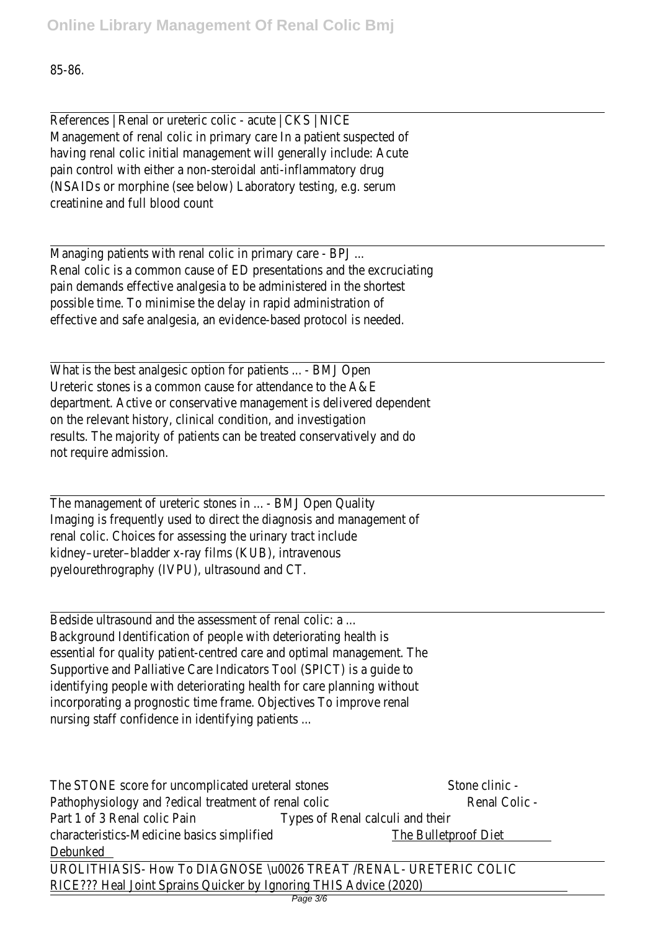## 85-86.

References | Renal or ureteric colic - acute | CKS | NICE Management of renal colic in primary care In a patient suspected of having renal colic initial management will generally include: Acute pain control with either a non-steroidal anti-inflammatory drug (NSAIDs or morphine (see below) Laboratory testing, e.g. serum creatinine and full blood count

Managing patients with renal colic in primary care - BPJ ... Renal colic is a common cause of ED presentations and the excruciating pain demands effective analgesia to be administered in the shortest possible time. To minimise the delay in rapid administration of effective and safe analgesia, an evidence-based protocol is needed.

What is the best analgesic option for patients ... - BMJ Open Ureteric stones is a common cause for attendance to the A&E department. Active or conservative management is delivered dependent on the relevant history, clinical condition, and investigation results. The majority of patients can be treated conservatively and do not require admission.

The management of ureteric stones in ... - BMJ Open Quality Imaging is frequently used to direct the diagnosis and management of renal colic. Choices for assessing the urinary tract include kidney–ureter–bladder x-ray films (KUB), intravenous pyelourethrography (IVPU), ultrasound and CT.

Bedside ultrasound and the assessment of renal colic: a ... Background Identification of people with deteriorating health is essential for quality patient-centred care and optimal management. The Supportive and Palliative Care Indicators Tool (SPICT) is a guide to identifying people with deteriorating health for care planning without incorporating a prognostic time frame. Objectives To improve renal nursing staff confidence in identifying patients ...

The STONE score for uncomplicated ureteral stores and clinic -Pathophysiology and ?edical treatment of renal collenal Colic -Part 1 of 3 Renal colic Pain Types of Renal calculi and their characteristics-Medicine basics simplified The Bulletproof Diet Debunked

UROLITHIASIS- How To DIAGNOSE \u0026 TREAT /RENAL- URETERIC COLIC RICE??? Heal Joint Sprains Quicker by Ignoring THIS Advice (2020)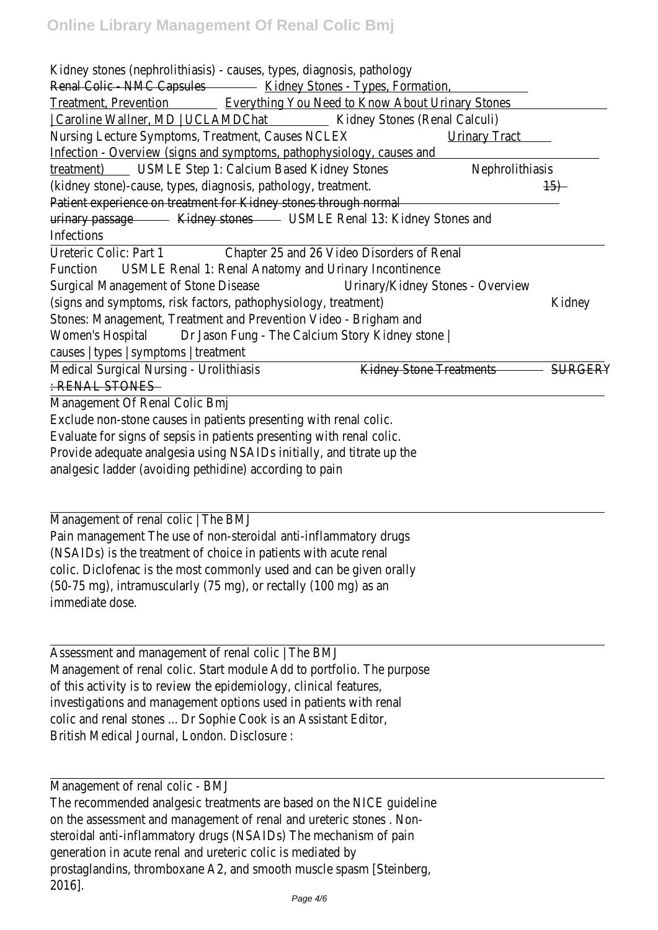Kidney stones (nephrolithiasis) - causes, types, diagnosis, pathology Renal Colic - NMC Capsuld sidney Stones - Types, Formation,

Treatment, PreventioEverything You Need to Know About Urinary Stones | Caroline Wallner, MD | UCLAMDCKathey Stones (Renal Calculi) Nursing Lecture Symptoms, Treatment, Causes NCLEX Tract Infection - Overview (signs and symptoms, pathophysiology, causes and treatment)USMLE Step 1: Calcium Based Kidney Stowershrolithiasis (kidney stone)-cause, types, diagnosis, pathology, treatmen#5) Patient experience on treatment for Kidney stones through normal urinary passageKidney stonesUSMLE Renal 13: Kidney Stones and Infections

Ureteric Colic: Part 1Chapter 25 and 26 Video Disorders of Renal FunctionUSMLE Renal 1: Renal Anatomy and Urinary Incontinence Surgical Management of Stone Disedsinary/Kidney Stones - Overview (signs and symptoms, risk factors, pathophysiology, treatmekibley Stones: Management, Treatment and Prevention Video - Brigham and Women's Hospit&r Jason Fung - The Calcium Story Kidney stone | causes | types | symptoms | treatment

Medical Surgical Nursing - UrolithiasisKidney Stone Treatments RERY : RENAL STONES

Management Of Renal Colic Bmj Exclude non-stone causes in patients presenting with renal colic. Evaluate for signs of sepsis in patients presenting with renal colic. Provide adequate analgesia using NSAIDs initially, and titrate up the analgesic ladder (avoiding pethidine) according to pain

Management of renal colic | The BMJ Pain management The use of non-steroidal anti-inflammatory drugs (NSAIDs) is the treatment of choice in patients with acute renal colic. Diclofenac is the most commonly used and can be given orally (50-75 mg), intramuscularly (75 mg), or rectally (100 mg) as an immediate dose.

Assessment and management of renal colic | The BMJ Management of renal colic. Start module Add to portfolio. The purpose of this activity is to review the epidemiology, clinical features, investigations and management options used in patients with renal colic and renal stones ... Dr Sophie Cook is an Assistant Editor, British Medical Journal, London. Disclosure :

Management of renal colic - BMJ The recommended analgesic treatments are based on the NICE guideline on the assessment and management of renal and ureteric stones . Nonsteroidal anti-inflammatory drugs (NSAIDs) The mechanism of pain generation in acute renal and ureteric colic is mediated by prostaglandins, thromboxane A2, and smooth muscle spasm [Steinberg, 2016].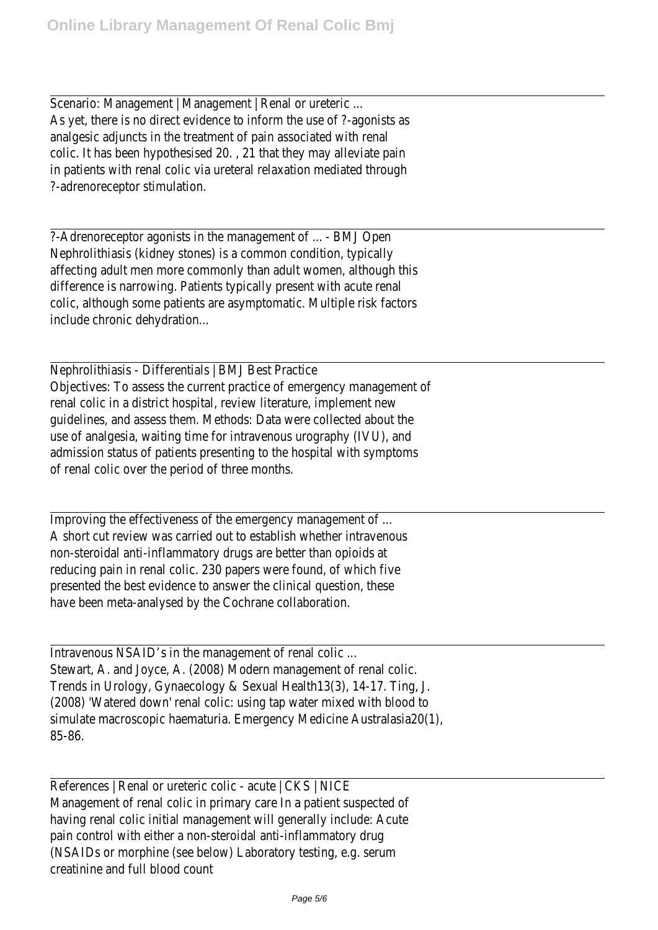Scenario: Management | Management | Renal or ureteric ... As yet, there is no direct evidence to inform the use of ?-agonists as analgesic adjuncts in the treatment of pain associated with renal colic. It has been hypothesised 20. , 21 that they may alleviate pain in patients with renal colic via ureteral relaxation mediated through ?-adrenoreceptor stimulation.

?-Adrenoreceptor agonists in the management of ... - BMJ Open Nephrolithiasis (kidney stones) is a common condition, typically affecting adult men more commonly than adult women, although this difference is narrowing. Patients typically present with acute renal colic, although some patients are asymptomatic. Multiple risk factors include chronic dehydration...

Nephrolithiasis - Differentials | BMJ Best Practice Objectives: To assess the current practice of emergency management of renal colic in a district hospital, review literature, implement new guidelines, and assess them. Methods: Data were collected about the use of analgesia, waiting time for intravenous urography (IVU), and admission status of patients presenting to the hospital with symptoms of renal colic over the period of three months.

Improving the effectiveness of the emergency management of ... A short cut review was carried out to establish whether intravenous non-steroidal anti-inflammatory drugs are better than opioids at reducing pain in renal colic. 230 papers were found, of which five presented the best evidence to answer the clinical question, these have been meta-analysed by the Cochrane collaboration.

Intravenous NSAID's in the management of renal colic ... Stewart, A. and Joyce, A. (2008) Modern management of renal colic. Trends in Urology, Gynaecology & Sexual Health13(3), 14-17. Ting, J. (2008) 'Watered down' renal colic: using tap water mixed with blood to simulate macroscopic haematuria. Emergency Medicine Australasia20(1), 85-86.

References | Renal or ureteric colic - acute | CKS | NICE Management of renal colic in primary care In a patient suspected of having renal colic initial management will generally include: Acute pain control with either a non-steroidal anti-inflammatory drug (NSAIDs or morphine (see below) Laboratory testing, e.g. serum creatinine and full blood count